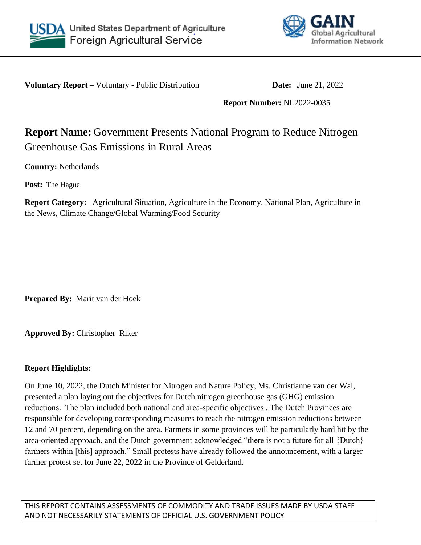



**Voluntary Report** – Voluntary - Public Distribution **Date:** June 21, 2022

**Report Number:** NL2022-0035

# **Report Name:** Government Presents National Program to Reduce Nitrogen Greenhouse Gas Emissions in Rural Areas

**Country:** Netherlands

**Post:** The Hague

**Report Category:** Agricultural Situation, Agriculture in the Economy, National Plan, Agriculture in the News, Climate Change/Global Warming/Food Security

**Prepared By:** Marit van der Hoek

**Approved By:** Christopher Riker

# **Report Highlights:**

On June 10, 2022, the Dutch Minister for Nitrogen and Nature Policy, Ms. Christianne van der Wal, presented a plan laying out the objectives for Dutch nitrogen greenhouse gas (GHG) emission reductions. The plan included both national and area-specific objectives . The Dutch Provinces are responsible for developing corresponding measures to reach the nitrogen emission reductions between 12 and 70 percent, depending on the area. Farmers in some provinces will be particularly hard hit by the area-oriented approach, and the Dutch government acknowledged "there is not a future for all {Dutch} farmers within [this] approach." Small protests have already followed the announcement, with a larger farmer protest set for June 22, 2022 in the Province of Gelderland.

THIS REPORT CONTAINS ASSESSMENTS OF COMMODITY AND TRADE ISSUES MADE BY USDA STAFF AND NOT NECESSARILY STATEMENTS OF OFFICIAL U.S. GOVERNMENT POLICY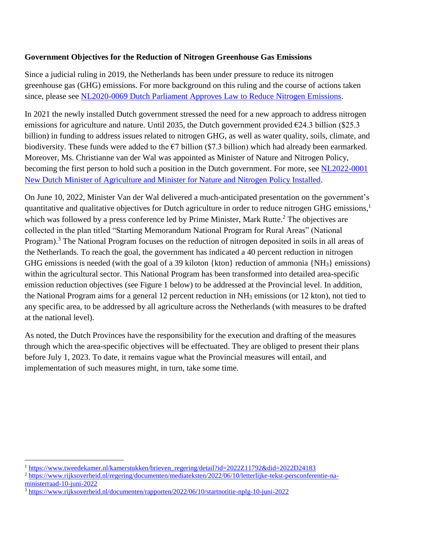# **Government Objectives for the Reduction of Nitrogen Greenhouse Gas Emissions**

Since a judicial ruling in 2019, the Netherlands has been under pressure to reduce its nitrogen greenhouse gas (GHG) emissions. For more background on this ruling and the course of actions taken since, please see [NL2020-0069 Dutch Parliament Approves Law to Reduce Nitrogen Emissions.](https://www.bing.com/ck/a?!&&p=d4d0b3f12592882025eac35b8e519a4bafead381f50b292a8be2c013ab275e97JmltdHM9MTY1NTEyMDAwMSZpZ3VpZD04MTAxOGU5OS00MGRiLTRhM2EtYjRjNi00NzhjM2RmOTM3MGYmaW5zaWQ9NTM4OA&ptn=3&fclid=a09b1c07-eb0c-11ec-8570-29bc6d0f603c&u=a1aHR0cHM6Ly93d3cuZmFzLnVzZGEuZ292L2RhdGEvbmV0aGVybGFuZHMtZHV0Y2gtcGFybGlhbWVudC1hcHByb3Zlcy1sYXctcmVkdWNlLW5pdHJvZ2VuLWVtaXNzaW9ucyM6fjp0ZXh0PU5ldGhlcmxhbmRzJTNBJTIwRHV0Y2glMjBQYXJsaWFtZW50JTIwQXBwcm92ZXMlMjBMYXclMjB0byUyMFJlZHVjZSUyME5pdHJvZ2VuLGFpbXMlMjB0byUyMGN1cmIlMjBuaXRyb2dlbiUyMGVtaXNzaW9ucyUyMGluJTIwdGhlJTIwTmV0aGVybGFuZHMu&ntb=1)

In 2021 the newly installed Dutch government stressed the need for a new approach to address nitrogen emissions for agriculture and nature. Until 2035, the Dutch government provided  $\epsilon$ 24.3 billion (\$25.3) billion) in funding to address issues related to nitrogen GHG, as well as water quality, soils, climate, and biodiversity. These funds were added to the  $\epsilon$ 7 billion (\$7.3 billion) which had already been earmarked. Moreover, Ms. Christianne van der Wal was appointed as Minister of Nature and Nitrogen Policy, becoming the first person to hold such a position in the Dutch government. For more, see NL2022-0001 [New Dutch Minister of Agriculture and Minister for Nature and Nitrogen Policy Installed.](https://www.bing.com/ck/a?!&&p=ab4b087e2e561104ed73dc894fe68e1485f2a3ff564ff11e7e49e2dcbf9c69c0JmltdHM9MTY1NTEyNjM1MCZpZ3VpZD05OWQwMTkxMy04YmVmLTQ0YzktODM4MS1lYTZhMGY0N2YyNDEmaW5zaWQ9NTM4Ng&ptn=3&fclid=692a3b45-eb1b-11ec-98e7-4e5b07dcc468&u=a1aHR0cHM6Ly93d3cuZmFzLnVzZGEuZ292L2RhdGEvbmV0aGVybGFuZHMtbmV3LWR1dGNoLW1pbmlzdGVyLWFncmljdWx0dXJlLWFuZC1taW5pc3Rlci1uYXR1cmUtYW5kLW5pdHJvZ2VuLXBvbGljeS1pbnN0YWxsZWQjOn46dGV4dD1OZXRoZXJsYW5kcyUzQSUyME5ldyUyMER1dGNoJTIwTWluaXN0ZXIlMjBvZiUyMEFncmljdWx0dXJlJTIwYW5kJTIwTWluaXN0ZXIsQWdyaWN1bHR1cmUlMkMlMjBOYXR1cmUlMjBhbmQlMjBGb29kJTIwUXVhbGl0eSUyMGlzJTIwSGVuayUyMFN0YWdob3V3ZXIu&ntb=1)

On June 10, 2022, Minister Van der Wal delivered a much-anticipated presentation on the government's quantitative and qualitative objectives for Dutch agriculture in order to reduce nitrogen GHG emissions,<sup>1</sup> which was followed by a press conference led by Prime Minister, Mark Rutte.<sup>2</sup> The objectives are collected in the plan titled "Starting Memorandum National Program for Rural Areas" (National Program).<sup>3</sup> The National Program focuses on the reduction of nitrogen deposited in soils in all areas of the Netherlands. To reach the goal, the government has indicated a 40 percent reduction in nitrogen GHG emissions is needed (with the goal of a 39 kiloton {kton} reduction of ammonia {NH3} emissions) within the agricultural sector. This National Program has been transformed into detailed area-specific emission reduction objectives (see Figure 1 below) to be addressed at the Provincial level. In addition, the National Program aims for a general 12 percent reduction in NH<sup>3</sup> emissions (or 12 kton), not tied to any specific area, to be addressed by all agriculture across the Netherlands (with measures to be drafted at the national level).

As noted, the Dutch Provinces have the responsibility for the execution and drafting of the measures through which the area-specific objectives will be effectuated. They are obliged to present their plans before July 1, 2023. To date, it remains vague what the Provincial measures will entail, and implementation of such measures might, in turn, take some time.

 $\overline{a}$ 

<sup>&</sup>lt;sup>1</sup> [https://www.tweedekamer.nl/kamerstukken/brieven\\_regering/detail?id=2022Z11792&did=2022D24183](https://www.tweedekamer.nl/kamerstukken/brieven_regering/detail?id=2022Z11792&did=2022D24183)

<sup>2</sup> [https://www.rijksoverheid.nl/regering/documenten/mediateksten/2022/06/10/letterlijke-tekst-persconferentie-na](https://www.rijksoverheid.nl/regering/documenten/mediateksten/2022/06/10/letterlijke-tekst-persconferentie-na-ministerraad-10-juni-2022)[ministerraad-10-juni-2022](https://www.rijksoverheid.nl/regering/documenten/mediateksten/2022/06/10/letterlijke-tekst-persconferentie-na-ministerraad-10-juni-2022)

<sup>3</sup> <https://www.rijksoverheid.nl/documenten/rapporten/2022/06/10/startnotitie-nplg-10-juni-2022>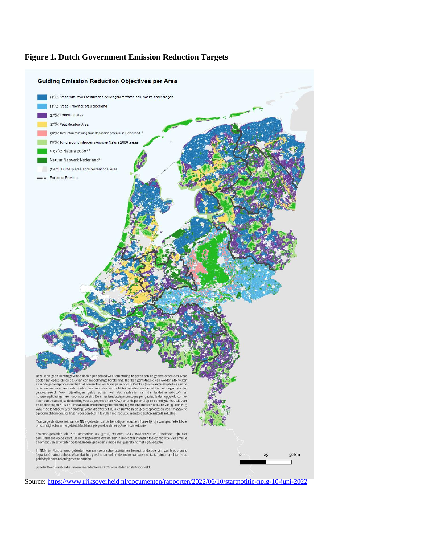### **Figure 1. Dutch Government Emission Reduction Targets**



Source:<https://www.rijksoverheid.nl/documenten/rapporten/2022/06/10/startnotitie-nplg-10-juni-2022>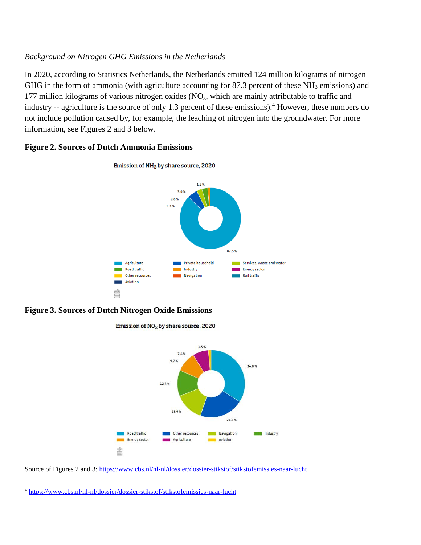# *Background on Nitrogen GHG Emissions in the Netherlands*

In 2020, according to Statistics Netherlands, the Netherlands emitted 124 million kilograms of nitrogen GHG in the form of ammonia (with agriculture accounting for 87.3 percent of these NH<sub>3</sub> emissions) and 177 million kilograms of various nitrogen oxides  $(NO<sub>x</sub>,$  which are mainly attributable to traffic and industry -- agriculture is the source of only 1.3 percent of these emissions).<sup>4</sup> However, these numbers do not include pollution caused by, for example, the leaching of nitrogen into the groundwater. For more information, see Figures 2 and 3 below.

# **Figure 2. Sources of Dutch Ammonia Emissions**







Emission of  $NO_x$  by share source, 2020

Source of Figures 2 and 3:<https://www.cbs.nl/nl-nl/dossier/dossier-stikstof/stikstofemissies-naar-lucht>

 $\overline{\phantom{a}}$ <sup>4</sup> <https://www.cbs.nl/nl-nl/dossier/dossier-stikstof/stikstofemissies-naar-lucht>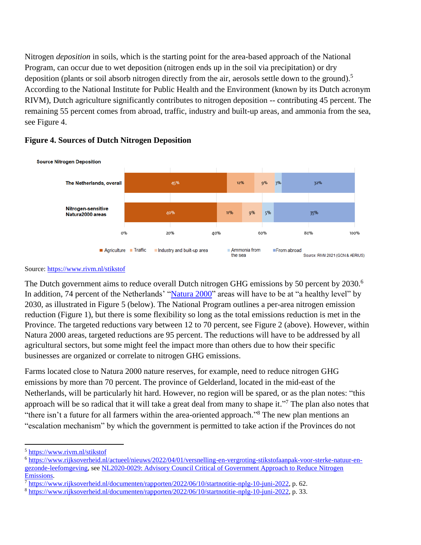Nitrogen *deposition* in soils, which is the starting point for the area-based approach of the National Program, can occur due to wet deposition (nitrogen ends up in the soil via precipitation) or dry deposition (plants or soil absorb nitrogen directly from the air, aerosols settle down to the ground).<sup>5</sup> According to the National Institute for Public Health and the Environment (known by its Dutch acronym RIVM), Dutch agriculture significantly contributes to nitrogen deposition -- contributing 45 percent. The remaining 55 percent comes from abroad, traffic, industry and built-up areas, and ammonia from the sea, see Figure 4.



## **Figure 4. Sources of Dutch Nitrogen Deposition**

### Source:<https://www.rivm.nl/stikstof>

The Dutch government aims to reduce overall Dutch nitrogen GHG emissions by 50 percent by  $2030$ .<sup>6</sup> In addition, 74 percent of the Netherlands' ["Natura 2000"](https://ec.europa.eu/environment/nature/natura2000/index_en.htm) areas will have to be at "a healthy level" by 2030, as illustrated in Figure 5 (below). The National Program outlines a per-area nitrogen emission reduction (Figure 1), but there is some flexibility so long as the total emissions reduction is met in the Province. The targeted reductions vary between 12 to 70 percent, see Figure 2 (above). However, within Natura 2000 areas, targeted reductions are 95 percent. The reductions will have to be addressed by all agricultural sectors, but some might feel the impact more than others due to how their specific businesses are organized or correlate to nitrogen GHG emissions.

Farms located close to Natura 2000 nature reserves, for example, need to reduce nitrogen GHG emissions by more than 70 percent. The province of Gelderland, located in the mid-east of the Netherlands, will be particularly hit hard. However, no region will be spared, or as the plan notes: "this approach will be so radical that it will take a great deal from many to shape it."<sup>7</sup> The plan also notes that "there isn't a future for all farmers within the area-oriented approach."<sup>8</sup> The new plan mentions an "escalation mechanism" by which the government is permitted to take action if the Provinces do not

 $\overline{\phantom{a}}$ 

<sup>5</sup> <https://www.rivm.nl/stikstof>

<sup>6</sup> [https://www.rijksoverheid.nl/actueel/nieuws/2022/04/01/versnelling-en-vergroting-stikstofaanpak-voor-sterke-natuur-en](https://www.rijksoverheid.nl/actueel/nieuws/2022/04/01/versnelling-en-vergroting-stikstofaanpak-voor-sterke-natuur-en-gezonde-leefomgeving)[gezonde-leefomgeving,](https://www.rijksoverheid.nl/actueel/nieuws/2022/04/01/versnelling-en-vergroting-stikstofaanpak-voor-sterke-natuur-en-gezonde-leefomgeving) see [NL2020-0029: Advisory Council Critical of Government Approach to Reduce Nitrogen](https://apps.fas.usda.gov/newgainapi/api/Report/DownloadReportByFileName?fileName=Advisory%20Council%20Critical%20of%20Government%20Approach%20to%20Reduce%20Nitrogen%20Emissions_The%20Hague_Netherlands_06-15-2020)  [Emissions.](https://apps.fas.usda.gov/newgainapi/api/Report/DownloadReportByFileName?fileName=Advisory%20Council%20Critical%20of%20Government%20Approach%20to%20Reduce%20Nitrogen%20Emissions_The%20Hague_Netherlands_06-15-2020)

<sup>7</sup> [https://www.rijksoverheid.nl/documenten/rapporten/2022/06/10/startnotitie-nplg-10-juni-2022,](https://www.rijksoverheid.nl/documenten/rapporten/2022/06/10/startnotitie-nplg-10-juni-2022) p. 62.

<sup>8</sup> [https://www.rijksoverheid.nl/documenten/rapporten/2022/06/10/startnotitie-nplg-10-juni-2022,](https://www.rijksoverheid.nl/documenten/rapporten/2022/06/10/startnotitie-nplg-10-juni-2022) p. 33.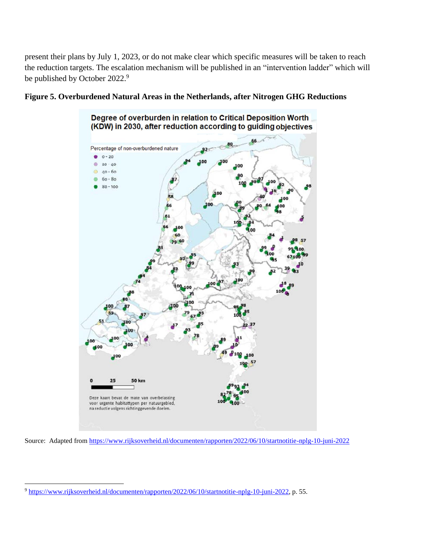present their plans by July 1, 2023, or do not make clear which specific measures will be taken to reach the reduction targets. The escalation mechanism will be published in an "intervention ladder" which will be published by October 2022.<sup>9</sup>





Source: Adapted from<https://www.rijksoverheid.nl/documenten/rapporten/2022/06/10/startnotitie-nplg-10-juni-2022>

 $\overline{\phantom{a}}$ 

<sup>9</sup> [https://www.rijksoverheid.nl/documenten/rapporten/2022/06/10/startnotitie-nplg-10-juni-2022,](https://www.rijksoverheid.nl/documenten/rapporten/2022/06/10/startnotitie-nplg-10-juni-2022) p. 55.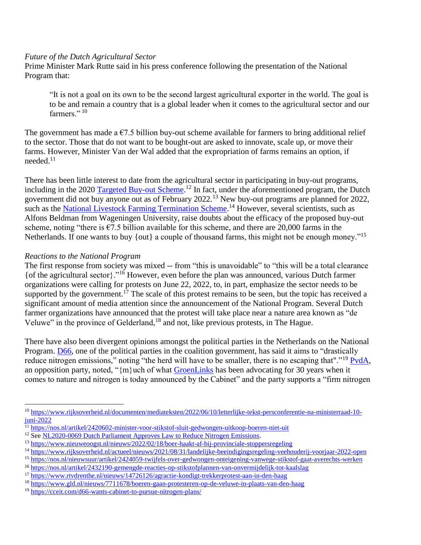### *Future of the Dutch Agricultural Sector*

Prime Minister Mark Rutte said in his press conference following the presentation of the National Program that:

"It is not a goal on its own to be the second largest agricultural exporter in the world. The goal is to be and remain a country that is a global leader when it comes to the agricultural sector and our farmers." 10

The government has made a  $\epsilon$ 7.5 billion buy-out scheme available for farmers to bring additional relief to the sector. Those that do not want to be bought-out are asked to innovate, scale up, or move their farms. However, Minister Van der Wal added that the expropriation of farms remains an option, if needed. $11$ 

There has been little interest to date from the agricultural sector in participating in buy-out programs, including in the 2020 [Targeted Buy-out Scheme.](https://www.aanpakstikstof.nl/maatregelen/landbouw/regeling-provinciale-aankoop-veehouderijen)<sup>12</sup> In fact, under the aforementioned program, the Dutch government did not buy anyone out as of February 2022.<sup>13</sup> New buy-out programs are planned for 2022, such as the [National Livestock Farming Termination Scheme.](https://www.aanpakstikstof.nl/maatregelen/landbouw/landelijke-beeindigingsregeling-veehouderij)<sup>14</sup> However, several scientists, such as Alfons Beldman from Wageningen University, raise doubts about the efficacy of the proposed buy-out scheme, noting "there is  $\epsilon$ 7.5 billion available for this scheme, and there are 20,000 farms in the Netherlands. If one wants to buy {out} a couple of thousand farms, this might not be enough money."<sup>15</sup>

## *Reactions to the National Program*

l

The first response from society was mixed -- from "this is unavoidable" to "this will be a total clearance {of the agricultural sector}."<sup>16</sup> However, even before the plan was announced, various Dutch farmer organizations were calling for protests on June 22, 2022, to, in part, emphasize the sector needs to be supported by the government.<sup>17</sup> The scale of this protest remains to be seen, but the topic has received a significant amount of media attention since the announcement of the National Program. Several Dutch farmer organizations have announced that the protest will take place near a nature area known as "de Veluwe" in the province of Gelderland,<sup>18</sup> and not, like previous protests, in The Hague.

There have also been divergent opinions amongst the political parties in the Netherlands on the National Program. [D66,](https://d66.nl/) one of the political parties in the coalition government, has said it aims to "drastically reduce nitrogen emissions," noting "the herd will have to be smaller, there is no escaping that"."<sup>19</sup> [PvdA,](https://www.pvda.nl/) an opposition party, noted, " ${m}$ uch of what [GroenLinks](https://www.groenlinks.nl/home) has been advocating for 30 years when it comes to nature and nitrogen is today announced by the Cabinet" and the party supports a "firm nitrogen

<sup>10</sup> [https://www.rijksoverheid.nl/documenten/mediateksten/2022/06/10/letterlijke-tekst-persconferentie-na-ministerraad-10](https://www.rijksoverheid.nl/documenten/mediateksten/2022/06/10/letterlijke-tekst-persconferentie-na-ministerraad-10-juni-2022) [juni-2022](https://www.rijksoverheid.nl/documenten/mediateksten/2022/06/10/letterlijke-tekst-persconferentie-na-ministerraad-10-juni-2022)

 $\frac{11}{11}$  <https://nos.nl/artikel/2420602-minister-voor-stikstof-sluit-gedwongen-uitkoop-boeren-niet-uit>

<sup>&</sup>lt;sup>12</sup> See [NL2020-0069 Dutch Parliament Approves Law to Reduce Nitrogen Emissions.](https://www.bing.com/ck/a?!&&p=d4d0b3f12592882025eac35b8e519a4bafead381f50b292a8be2c013ab275e97JmltdHM9MTY1NTEyMDAwMSZpZ3VpZD04MTAxOGU5OS00MGRiLTRhM2EtYjRjNi00NzhjM2RmOTM3MGYmaW5zaWQ9NTM4OA&ptn=3&fclid=a09b1c07-eb0c-11ec-8570-29bc6d0f603c&u=a1aHR0cHM6Ly93d3cuZmFzLnVzZGEuZ292L2RhdGEvbmV0aGVybGFuZHMtZHV0Y2gtcGFybGlhbWVudC1hcHByb3Zlcy1sYXctcmVkdWNlLW5pdHJvZ2VuLWVtaXNzaW9ucyM6fjp0ZXh0PU5ldGhlcmxhbmRzJTNBJTIwRHV0Y2glMjBQYXJsaWFtZW50JTIwQXBwcm92ZXMlMjBMYXclMjB0byUyMFJlZHVjZSUyME5pdHJvZ2VuLGFpbXMlMjB0byUyMGN1cmIlMjBuaXRyb2dlbiUyMGVtaXNzaW9ucyUyMGluJTIwdGhlJTIwTmV0aGVybGFuZHMu&ntb=1)

<sup>13</sup> <https://www.nieuweoogst.nl/nieuws/2022/02/18/boer-haakt-af-bij-provinciale-stoppersregeling>

<sup>14</sup> <https://www.rijksoverheid.nl/actueel/nieuws/2021/08/31/landelijke-beeindigingsregeling-veehouderij-voorjaar-2022-open>

<sup>15</sup> <https://nos.nl/nieuwsuur/artikel/2424059-twijfels-over-gedwongen-onteigening-vanwege-stikstof-gaat-averechts-werken>

<sup>16</sup> <https://nos.nl/artikel/2432190-gemengde-reacties-op-stikstofplannen-van-onvermijdelijk-tot-kaalslag>

<sup>17</sup> <https://www.rtvdrenthe.nl/nieuws/14726126/agractie-kondigt-trekkerprotest-aan-in-den-haag>

<sup>18</sup> <https://www.gld.nl/nieuws/7711678/boeren-gaan-protesteren-op-de-veluwe-in-plaats-van-den-haag>

<sup>19</sup> <https://cceit.com/d66-wants-cabinet-to-pursue-nitrogen-plans/>